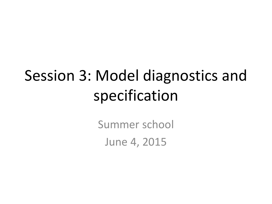# Session 3: Model diagnostics and specification

Summer school June 4, 2015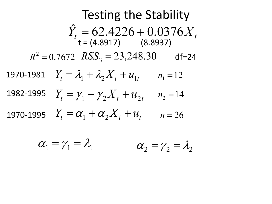**Testing the Stability**  
\n
$$
\hat{Y}_t = 62.4226 + 0.0376X_t
$$
\nt = (4.8917) (8.8937)  
\n
$$
R^2 = 0.7672 \text{ RSS}_3 = 23,248.30 \text{ df}=24
$$
\n1970-1981 
$$
Y_t = \lambda_1 + \lambda_2 X_t + u_{1t} \quad n_1 = 12
$$
\n1982-1995 
$$
Y_t = \gamma_1 + \gamma_2 X_t + u_{2t} \quad n_2 = 14
$$
\n1970-1995 
$$
Y_t = \alpha_1 + \alpha_2 X_t + u_t \quad n = 26
$$

$$
\alpha_1 = \gamma_1 = \lambda_1 \qquad \qquad \alpha_2 = \gamma_2 = \lambda_2
$$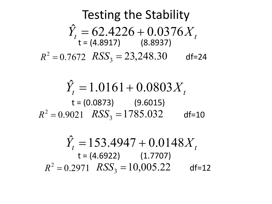**Testing the Stability**  
\n
$$
\hat{Y}_t = 62.4226 + 0.0376X_t
$$
  
\nt = (4.8917) (8.8937)  
\n $R^2 = 0.7672$  RSS<sub>3</sub> = 23,248.30 df=24

$$
\hat{Y}_t = 1.0161 + 0.0803X_t
$$
  
\nt = (0.0873) (9.6015)  
\n
$$
R^2 = 0.9021 \quad RSS_3 = 1785.032 \quad \text{df=10}
$$

$$
\hat{Y}_t = 153.4947 + 0.0148X_t
$$
  
\nt = (4.6922) (1.7707)  
\n
$$
R^2 = 0.2971 \text{ RSS}_3 = 10,005.22 \text{ df=12}
$$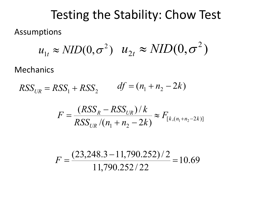#### Testing the Stability: Chow Test

Assumptions

$$
u_{1t} \approx NID(0, \sigma^2)
$$
  $u_{2t} \approx NID(0, \sigma^2)$ 

Mechanics

 $RSS_{IR} = RSS_1 + RSS_2$   $df = (n_1 + n_2 - 2k)$ 

$$
F = \frac{(RSS_R - RSS_{UR})/k}{RSS_{UR}/(n_1 + n_2 - 2k)} \approx F_{[k, (n_1 + n_2 - 2k)]}
$$

$$
F = \frac{(23,248.3 - 11,790.252)/2}{11,790.252/22} = 10.69
$$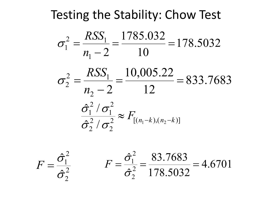### Testing the Stability: Chow Test

$$
\sigma_1^2 = \frac{RSS_1}{n_1 - 2} = \frac{1785.032}{10} = 178.5032
$$

$$
\sigma_2^2 = \frac{RSS_1}{n_2 - 2} = \frac{10,005.22}{12} = 833.7683
$$

$$
\frac{\hat{\sigma}_1^2 / \sigma_1^2}{\hat{\sigma}_2^2 / \sigma_2^2} \approx F_{[(n_1 - k), (n_2 - k)]}
$$

2 2 2 1  $\hat{z}$  $\hat{z}$ σ

$$
F = \frac{\hat{\sigma}_1^2}{\hat{\sigma}_2^2} \qquad F = \frac{\hat{\sigma}_1^2}{\hat{\sigma}_2^2} = \frac{83.7683}{178.5032} = 4.6701
$$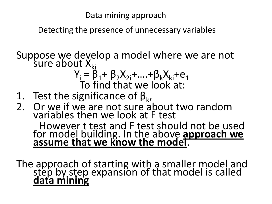Data mining approach

Detecting the presence of unnecessary variables

Suppose we develop a model where we are not sure about  $X_{ki}$ 

$$
Y_i = \hat{\beta}_1 + \beta_2 X_{2i} + \dots + \beta_k X_{ki} + e_{1i}
$$
  
To find that we look at:

- 1. Test the significance of  $\beta_{k}$ ,
- 2. Or we if we are not sure about two random variables then we look at F test

However t test and F test should not be used for model building. In the above **approach we** assume that we know the model.

The approach of starting with a smaller model and step by step expansion of that model is called **data mining**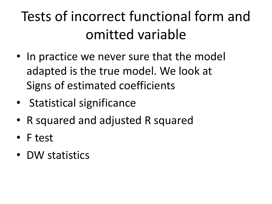### Tests of incorrect functional form and omitted variable

- In practice we never sure that the model adapted is the true model. We look at Signs of estimated coefficients
- Statistical significance
- R squared and adjusted R squared
- F test
- DW statistics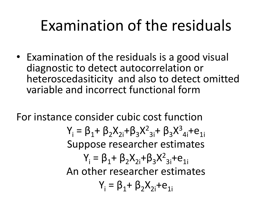## Examination of the residuals

• Examination of the residuals is a good visual diagnostic to detect autocorrelation or heteroscedasiticity and also to detect omitted variable and incorrect functional form

For instance consider cubic cost function

Y<sub>i</sub> = β<sub>1</sub>+ β<sub>2</sub>X<sub>2i</sub>+β<sub>3</sub>X<sup>2</sup><sub>3i</sub>+ β<sub>3</sub>X<sup>3</sup><sub>4i</sub>+e<sub>1i</sub> Suppose researcher estimates  $Y_i = \beta_1 + \beta_2 X_{2i} + \beta_3 X_{3i}^2 + e_{1i}$ An other researcher estimates  $Y_i = \beta_1 + \beta_2 X_{2i} + e_{1i}$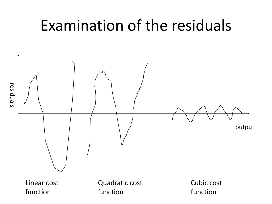### Examination of the residuals

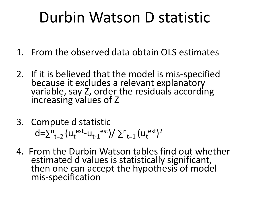### Durbin Watson D statistic

- 1. From the observed data obtain OLS estimates
- 2. If it is believed that the model is mis-specified because it excludes a relevant explanatory variable, say Z, order the residuals according increasing values of Z
- 3. Compute d statistic  $d = \sum_{t=2}^{n} (u_t^{\text{est}} - u_{t-1}^{\text{est}})/\sum_{t=1}^{n} (u_t^{\text{est}})^2$
- 4. From the Durbin Watson tables find out whether estimated d values is statistically significant, then one can accept the hypothesis of model mis-specification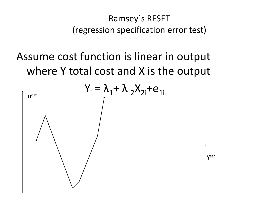#### Ramsey`s RESET (regression specification error test)

### Assume cost function is linear in output where Y total cost and X is the output

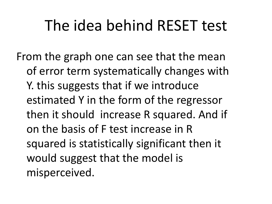### The idea behind RESET test

From the graph one can see that the mean of error term systematically changes with Y. this suggests that if we introduce estimated Y in the form of the regressor then it should increase R squared. And if on the basis of F test increase in R squared is statistically significant then it would suggest that the model is misperceived.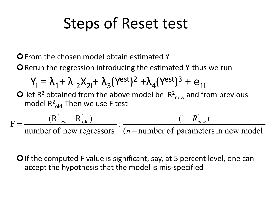### Steps of Reset test

**O** From the chosen model obtain estimated  $Y_i$ 

**O** Rerun the regression introducing the estimated  $Y_i$  thus we run

$$
Y_i = \lambda_1 + \lambda_2 X_{2i} + \lambda_3 (Y^{est})^2 + \lambda_4 (Y^{est})^3 + e_{1i}
$$

**O** let R<sup>2</sup> obtained from the above model be  $R^2_{new}$  and from previous model  $R^2$ <sub>old.</sub> Then we use F test

 $(n$  – number of parameters in new model  $\frac{(1 - R_{new}^2)}{1 - R_{new}^2}$ number of new regressors  $F = \frac{(R_{\text{new}}^2 - R_{\text{old}}^2)}{1 - R_{\text{new}}^2}$  :  $\frac{(1 - R_{\text{new}}^2 - R_{\text{old}}^2)}{1 - R_{\text{new}}^2}$ old 2 new −  $=\frac{(R_{new}^2 - R_{old}^2)}{1 - R_{old}^2}$  =  $\frac{(1 - R_{new}^2 - R_{old}^2)}{1 - R_{old}^2}$ *n*  $R_{\mathit{new}}^{2}$ 

**O** If the computed F value is significant, say, at 5 percent level, one can accept the hypothesis that the model is mis-specified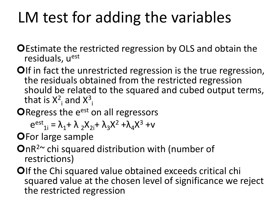## LM test for adding the variables

- **OEstimate the restricted regression by OLS and obtain the** residuals, uest
- OIf in fact the unrestricted regression is the true regression, the residuals obtained from the restricted regression should be related to the squared and cubed output terms, that is  $X^2$ <sub>i</sub> and  $X^3$ <sub>i</sub>
- ORegress the e<sup>est</sup> on all regressors

$$
e^{est}_{1i} = \lambda_1 + \lambda_2 X_{2i} + \lambda_3 X^2 + \lambda_4 X^3 + v
$$

**OFor large sample** 

- $On R<sup>2</sup>~$  chi squared distribution with (number of restrictions)
- OIf the Chi squared value obtained exceeds critical chi squared value at the chosen level of significance we reject the restricted regression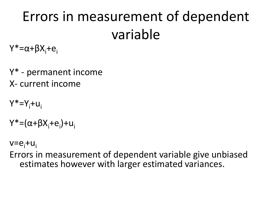### Errors in measurement of dependent variable

Y\*=α+βX<sub>i</sub>+e<sub>i</sub>

Y\* - permanent income X- current income

Y\*=Y<sub>i</sub>+u<sub>i</sub>

Y\*=(α+βX<sub>i</sub>+e<sub>i</sub>)+u<sub>i</sub>

v=e<sub>i</sub>+u<sub>i</sub>

Errors in measurement of dependent variable give unbiased estimates however with larger estimated variances.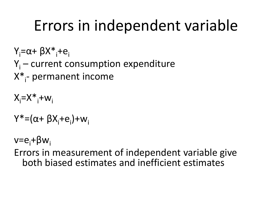# Errors in independent variable

Y<sub>i</sub>=α+ βX\*<sub>i</sub>+e<sub>i</sub>  $Y_i$  – current consumption expenditure X<sup>\*</sup><sub>i</sub>- permanent income

 $X_i = X^* + w_i$ 

Y\*=(α+ βX<sub>i</sub>+e<sub>i</sub>)+w<sub>i</sub>

v=e<sub>i</sub>+βw<sub>i</sub>

Errors in measurement of independent variable give both biased estimates and inefficient estimates